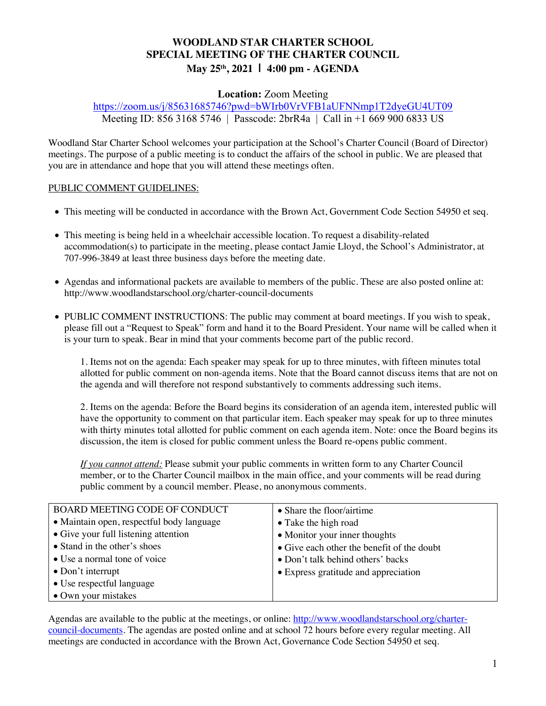# **WOODLAND STAR CHARTER SCHOOL SPECIAL MEETING OF THE CHARTER COUNCIL May 25th, 2021 | 4:00 pm - AGENDA**

## **Location:** Zoom Meeting

https://zoom.us/j/85631685746?pwd=bWIrb0VrVFB1aUFNNmp1T2dyeGU4UT09 Meeting ID: 856 3168 5746 | Passcode: 2brR4a | Call in +1 669 900 6833 US

Woodland Star Charter School welcomes your participation at the School's Charter Council (Board of Director) meetings. The purpose of a public meeting is to conduct the affairs of the school in public. We are pleased that you are in attendance and hope that you will attend these meetings often.

### PUBLIC COMMENT GUIDELINES:

- This meeting will be conducted in accordance with the Brown Act, Government Code Section 54950 et seq.
- This meeting is being held in a wheelchair accessible location. To request a disability-related accommodation(s) to participate in the meeting, please contact Jamie Lloyd, the School's Administrator, at 707-996-3849 at least three business days before the meeting date.
- Agendas and informational packets are available to members of the public. These are also posted online at: http://www.woodlandstarschool.org/charter-council-documents
- PUBLIC COMMENT INSTRUCTIONS: The public may comment at board meetings. If you wish to speak, please fill out a "Request to Speak" form and hand it to the Board President. Your name will be called when it is your turn to speak. Bear in mind that your comments become part of the public record.

1. Items not on the agenda: Each speaker may speak for up to three minutes, with fifteen minutes total allotted for public comment on non-agenda items. Note that the Board cannot discuss items that are not on the agenda and will therefore not respond substantively to comments addressing such items.

2. Items on the agenda: Before the Board begins its consideration of an agenda item, interested public will have the opportunity to comment on that particular item. Each speaker may speak for up to three minutes with thirty minutes total allotted for public comment on each agenda item. Note: once the Board begins its discussion, the item is closed for public comment unless the Board re-opens public comment.

*If you cannot attend:* Please submit your public comments in written form to any Charter Council member, or to the Charter Council mailbox in the main office, and your comments will be read during public comment by a council member. Please, no anonymous comments.

| <b>BOARD MEETING CODE OF CONDUCT</b>      | • Share the floor/airtime                  |  |
|-------------------------------------------|--------------------------------------------|--|
| • Maintain open, respectful body language | • Take the high road                       |  |
| • Give your full listening attention      | • Monitor your inner thoughts              |  |
| • Stand in the other's shoes              | • Give each other the benefit of the doubt |  |
| • Use a normal tone of voice              | • Don't talk behind others' backs          |  |
| $\bullet$ Don't interrupt                 | • Express gratitude and appreciation       |  |
| • Use respectful language                 |                                            |  |
| • Own your mistakes                       |                                            |  |

Agendas are available to the public at the meetings, or online: http://www.woodlandstarschool.org/chartercouncil-documents. The agendas are posted online and at school 72 hours before every regular meeting. All meetings are conducted in accordance with the Brown Act, Governance Code Section 54950 et seq.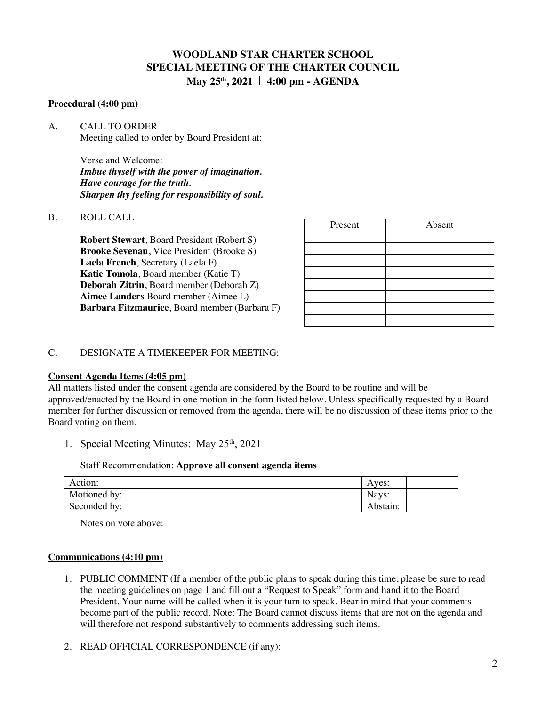# **WOODLAND STAR CHARTER SCHOOL SPECIAL MEETING OF THE CHARTER COUNCIL May 25th, 2021 | 4:00 pm - AGENDA**

#### **Procedural (4:00 pm)**

A. CALL TO ORDER Meeting called to order by Board President at:

> Verse and Welcome: *Imbue thyself with the power of imagination. Have courage for the truth. Sharpen thy feeling for responsibility of soul.*

#### B. ROLL CALL

**Robert Stewart**, Board President (Robert S) **Brooke Sevenau**, Vice President (Brooke S) **Laela French**, Secretary (Laela F) **Katie Tomola**, Board member (Katie T) **Deborah Zitrin**, Board member (Deborah Z) **Aimee Landers** Board member (Aimee L) **Barbara Fitzmaurice**, Board member (Barbara F)

| Present | Absent |
|---------|--------|
|         |        |
|         |        |
|         |        |
|         |        |
|         |        |
|         |        |
|         |        |
|         |        |

### C. DESIGNATE A TIMEKEEPER FOR MEETING:

#### **Consent Agenda Items (4:05 pm)**

All matters listed under the consent agenda are considered by the Board to be routine and will be approved/enacted by the Board in one motion in the form listed below. Unless specifically requested by a Board member for further discussion or removed from the agenda, there will be no discussion of these items prior to the Board voting on them.

1. Special Meeting Minutes: May 25<sup>th</sup>, 2021

#### Staff Recommendation: **Approve all consent agenda items**

| Action:      | Aves:    |  |
|--------------|----------|--|
| Motioned by: | Nays:    |  |
| Seconded by: | Abstain: |  |

Notes on vote above:

#### **Communications (4:10 pm)**

- 1. PUBLIC COMMENT (If a member of the public plans to speak during this time, please be sure to read the meeting guidelines on page 1 and fill out a "Request to Speak" form and hand it to the Board President. Your name will be called when it is your turn to speak. Bear in mind that your comments become part of the public record. Note: The Board cannot discuss items that are not on the agenda and will therefore not respond substantively to comments addressing such items.
- 2. READ OFFICIAL CORRESPONDENCE (if any):